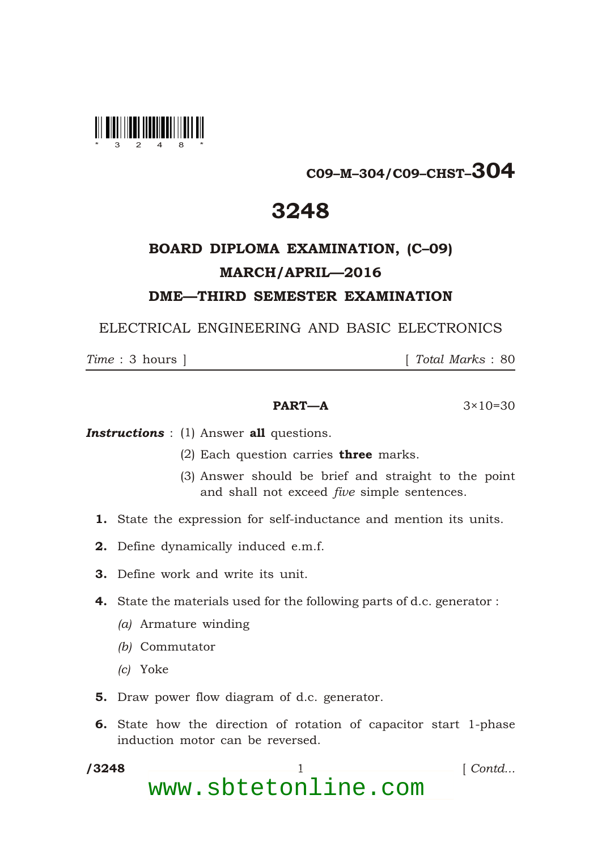

## C09–M–304/C09–CHST–304

## 3248

## BOARD DIPLOMA EXAMINATION, (C–09) MARCH/APRIL—2016 DME—THIRD SEMESTER EXAMINATION

ELECTRICAL ENGINEERING AND BASIC ELECTRONICS

*Time* : 3 hours ] [ *Total Marks* : 80

### **PART—A**  $3 \times 10 = 30$

**Instructions** : (1) Answer all questions.

- (2) Each question carries **three** marks.
- (3) Answer should be brief and straight to the point and shall not exceed *five* simple sentences.
- 1. State the expression for self-inductance and mention its units.
- 2. Define dynamically induced e.m.f.
- 3. Define work and write its unit.
- 4. State the materials used for the following parts of d.c. generator :
	- *(a)* Armature winding
	- *(b)* Commutator
	- *(c)* Yoke

\*

- 5. Draw power flow diagram of d.c. generator.
- 6. State how the direction of rotation of capacitor start 1-phase induction motor can be reversed.
- /3248 1 *Contd...* www.sbtetonline.com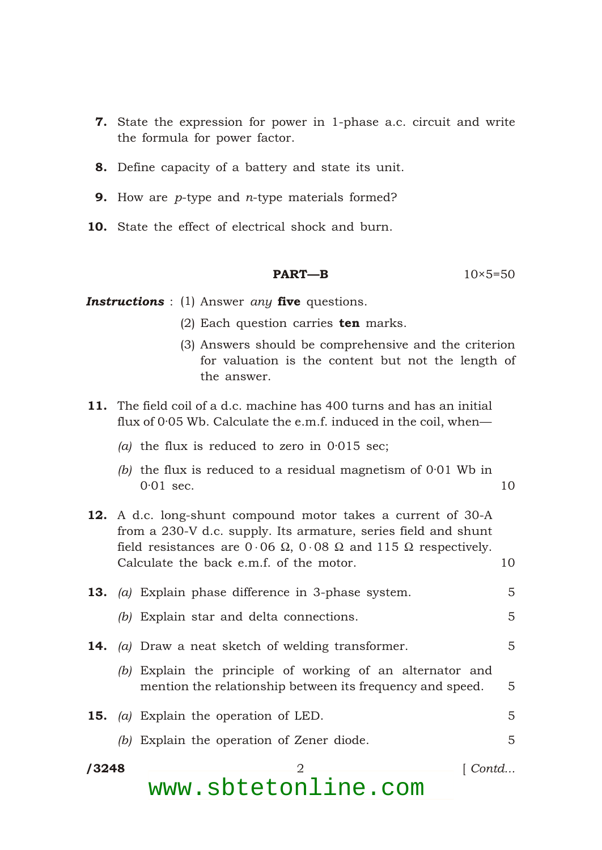- **7.** State the expression for power in 1-phase a.c. circuit and write the formula for power factor.
- 8. Define capacity of a battery and state its unit.
- 9. How are *p*-type and *n*-type materials formed?
- 10. State the effect of electrical shock and burn.

```
PART—B 10 \times 5 = 50
```
*Instructions* : (1) Answer *any* five questions.

- (2) Each question carries  $ten$  marks.
- (3) Answers should be comprehensive and the criterion for valuation is the content but not the length of the answer.
- 11. The field coil of a d.c. machine has 400 turns and has an initial flux of 0·05 Wb. Calculate the e.m.f. induced in the coil, when—
	- *(a)* the flux is reduced to zero in 0·015 sec;

\*

- *(b)* the flux is reduced to a residual magnetism of 0·01 Wb in 0<sup>.01</sup> sec. 10
- 12. A d.c. long-shunt compound motor takes a current of 30-A from a 230-V d.c. supply. Its armature, series field and shunt field resistances are 0 06 , 0 08 and 115 respectively. Calculate the back e.m.f. of the motor. 10
- 13. *(a)* Explain phase difference in 3-phase system. 5 *(b)* Explain star and delta connections. 5
- 14. *(a)* Draw a neat sketch of welding transformer. 5
	- *(b)* Explain the principle of working of an alternator and mention the relationship between its frequency and speed. 5
- **15.** *(a)* Explain the operation of LED. 5 *(b)* Explain the operation of Zener diode. 5
- /3248 /3248 2 [ *Contd...* www.sbtetonline.com